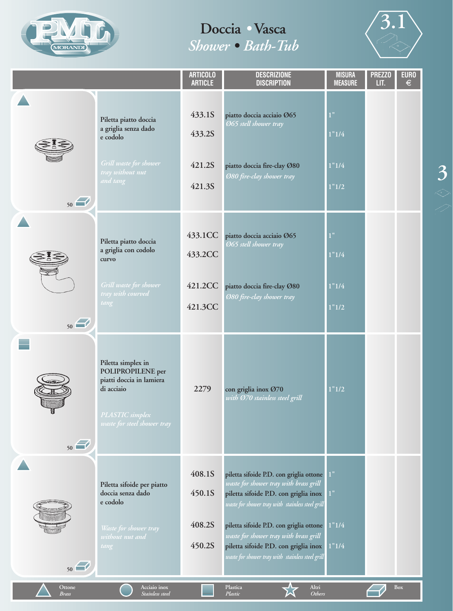



|                 |                                                                                                                                     | <b>ARTICOLO</b><br><b>ARTICLE</b>        | <b>DESCRIZIONE</b><br><b>DISCRIPTION</b>                                                                                                                                                                                                                                                                                                                         | <b>MISURA</b><br><b>MEASURE</b> | <b>PREZZO</b><br>LIT. | <b>EURO</b><br>$\in$ |
|-----------------|-------------------------------------------------------------------------------------------------------------------------------------|------------------------------------------|------------------------------------------------------------------------------------------------------------------------------------------------------------------------------------------------------------------------------------------------------------------------------------------------------------------------------------------------------------------|---------------------------------|-----------------------|----------------------|
| 50              | Piletta piatto doccia<br>a griglia senza dado<br>e codolo<br>Grill waste for shower<br>tray wit <mark>hout nut</mark><br>and tang   | 433.1S<br>433.2S<br>421.2S<br>421.3S     | piatto doccia acciaio Ø65<br>Ø65 stell shower tray<br>piatto doccia fire-clay Ø80<br>Ø80 fire-clay shower tray                                                                                                                                                                                                                                                   | 1"<br>1"1/4<br>1"1/4<br>1"1/2   |                       |                      |
| 50              | Piletta piatto doccia<br>a griglia con codolo<br>curvo<br>Grill waste for shower<br>tray with courved<br>tang                       | 433.1CC<br>433.2CC<br>421.2CC<br>421.3CC | piatto doccia acciaio Ø65<br>Ø65 stell shower tray<br>piatto doccia fire-clay Ø80<br>Ø80 fire-clay shower tray                                                                                                                                                                                                                                                   | 1"<br>1"1/4<br>1"1/4<br>1"1/2   |                       |                      |
| 50              | Piletta simplex in<br>POLIPROPILENE per<br>piatti doccia in lamiera<br>di acciaio<br>PLASTIC simplex<br>waste for steel shower tray | 2279                                     | con griglia inox Ø70<br>with Ø70 stainless steel grill                                                                                                                                                                                                                                                                                                           | 1"1/2                           |                       |                      |
| 50              | Piletta sifoide per piatto<br>doccia senza dado<br>e codolo<br>Waste for shower tray<br>without nut and<br>tang                     | 408.1S<br>450.1S<br>408.2S<br>450.2S     | piletta sifoide P.D. con griglia ottone<br>waste for shower tray with brass grill<br>piletta sifoide P.D. con griglia inox<br>waste for shower tray with stainless steel grill<br>piletta sifoide P.D. con griglia ottone<br>waste for shower tray with brass grill<br>piletta sifoide P.D. con griglia inox<br>waste for shower tray with stainless steel grill | 1"<br>1"<br>1"1/4<br>1"1/4      |                       |                      |
| Ottone<br>Brass | Acciaio inox<br>Stainless steel                                                                                                     |                                          | Plastica<br>Altri<br>Plastic<br>Others                                                                                                                                                                                                                                                                                                                           |                                 |                       | <b>Box</b>           |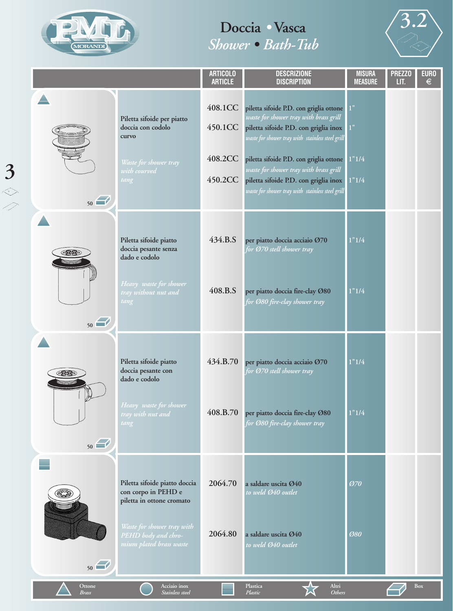



|                        |                                                                                                                                                                   | <b>ARTICOLO</b><br><b>ARTICLE</b>        | <b>DESCRIZIONE</b><br><b>DISCRIPTION</b>                                                                                                                                                                                                                                                                                                                               | <b>MISURA</b><br><b>MEASURE</b> | <b>PREZZO</b><br>LIT. | <b>EURO</b><br>€ |
|------------------------|-------------------------------------------------------------------------------------------------------------------------------------------------------------------|------------------------------------------|------------------------------------------------------------------------------------------------------------------------------------------------------------------------------------------------------------------------------------------------------------------------------------------------------------------------------------------------------------------------|---------------------------------|-----------------------|------------------|
| 50                     | Piletta sifoide per piatto<br>doccia con codolo<br>curvo<br>Waste for shower tray<br>with courved<br>tang                                                         | 408.1CC<br>450.1CC<br>408.2CC<br>450.2CC | piletta sifoide P.D. con griglia ottone<br>waste for shower tray with brass grill<br>piletta sifoide P.D. con griglia inox<br>waste for shower tray with stainless steel grill<br>piletta sifoide P.D. con griglia ottone 1"1/4<br>waste for shower tray with brass grill<br>piletta sifoide P.D. con griglia inox<br>waste for shower tray with stainless steel grill | 1"<br>$1"$<br>1"1/4             |                       |                  |
| 50                     | Piletta sifoide piatto<br>doccia pesante senza<br>dado e codolo<br>Heavy waste for shower<br>tray with <mark>out nut and</mark><br>tang                           | 434.B.S<br>408.B.S                       | per piatto doccia acciaio Ø70<br>for Ø70 stell shower tray<br>per piatto doccia fire-clay Ø80<br>for Ø80 fire-clay shower tray                                                                                                                                                                                                                                         | 1"1/4<br>1"1/4                  |                       |                  |
| $\cancel{2}$<br>50     | Piletta sifoide piatto<br>doccia pesante con<br>dado e codolo<br>Heavy waste for shower<br>tray with nut and<br>tang                                              | 434.B.70<br>408.B.70                     | per piatto doccia acciaio Ø70<br>for Ø70 stell shower tray<br>per piatto doccia fire-clay Ø80<br>for Ø80 fire-clay shower tray                                                                                                                                                                                                                                         | 1"1/4<br>1"1/4                  |                       |                  |
| 50                     | Piletta sifoide piatto doccia<br>con corpo in PEHD e<br>piletta in ottone cromato<br>Waste for shower tray with<br>PEHD body and chro-<br>mium plated brass waste | 2064.70<br>2064.80                       | a saldare uscita Ø40<br>to weld Ø40 outlet<br>a saldare uscita Ø40<br>to weld Ø40 outlet                                                                                                                                                                                                                                                                               | <b>Ø70</b><br>Ø80               |                       |                  |
| Ottone<br><b>Brass</b> | Acciaio inox<br>Stainless steel                                                                                                                                   |                                          | Plastica<br>Altri<br>Others<br>Plastic                                                                                                                                                                                                                                                                                                                                 |                                 |                       | <b>Box</b>       |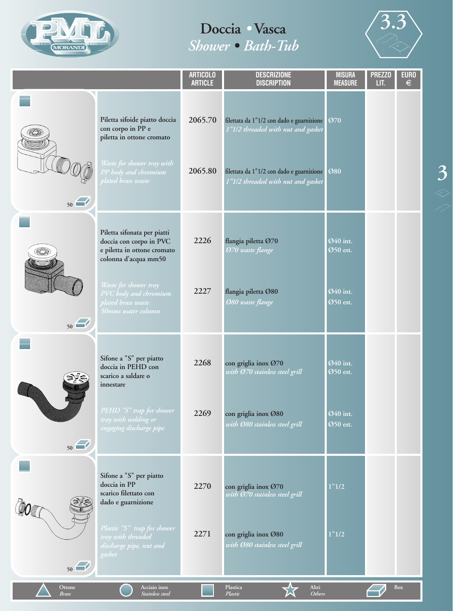



|                        |                                                                                                                                                                                                             | <b>ARTICOLO</b><br><b>ARTICLE</b> | <b>DESCRIZIONE</b><br><b>DISCRIPTION</b>                                                                                                                           | <b>MISURA</b><br><b>MEASURE</b>              | <b>PREZZO</b><br>LIT. | <b>EURO</b><br>$\epsilon$ |
|------------------------|-------------------------------------------------------------------------------------------------------------------------------------------------------------------------------------------------------------|-----------------------------------|--------------------------------------------------------------------------------------------------------------------------------------------------------------------|----------------------------------------------|-----------------------|---------------------------|
| 50                     | Piletta sifoide piatto doccia<br>con corpo in PP e<br>piletta in ottone cromato<br>Waste for shower tray with<br>PP body and chromium<br><u>blated brass waste</u>                                          | 2065.70<br>2065.80                | filettata da 1"1/2 con dado e guarnizione<br>1"1/2 threaded with nut and gasket<br>filettata da 1"1/2 con dado e guarnizione<br>1"1/2 threaded with nut and gasket | Ø70<br>Ø80                                   |                       |                           |
| 50                     | Piletta sifonata per piatti<br>doccia con corpo in PVC<br>e piletta in ottone cromato<br>colonna d'acqua mm50<br>Waste for shower tray<br>PVC body and chromium<br>plated brass waste<br>50mms water column | 2226<br>2227                      | flangia piletta Ø70<br>Ø70 waste flange<br>flangia piletta Ø80<br><b>Ø80</b> waste flange                                                                          | Ø40 int.<br>Ø50 est.<br>Ø40 int.<br>Ø50 est. |                       |                           |
| 50                     | Sifone a "S" per piatto<br>doccia in PEHD con<br>scarico a saldare o<br>innestare<br>PEHD "S" trap for shower<br>tray with welding or<br>engaging discharge pipe                                            | 2268<br>2269                      | con griglia inox Ø70<br>with Ø70 stainless steel grill<br>con griglia inox Ø80<br>with 080 stainless steel grill                                                   | Ø40 int.<br>Ø50 est.<br>Ø40 int.<br>Ø50 est. |                       |                           |
| 50                     | Sifone a "S" per piatto<br>doccia in PP<br>scarico filettato con<br>dado e guarnizione<br>Plastic "S" trap for shower<br>tray with threaded<br>discharge pipe, nut and<br>gasket                            | 2270<br>2271                      | con griglia inox Ø70<br>with Ø70 stainless steel grill<br>con griglia inox Ø80<br>with Ø80 stainless steel grill                                                   | 1"1/2<br>1"1/2                               |                       |                           |
| Ottone<br><b>Brass</b> | Acciaio inox<br>Stainless steel                                                                                                                                                                             |                                   | Plastica<br>Altri<br>Plastic<br><b>Others</b>                                                                                                                      |                                              |                       | <b>Box</b>                |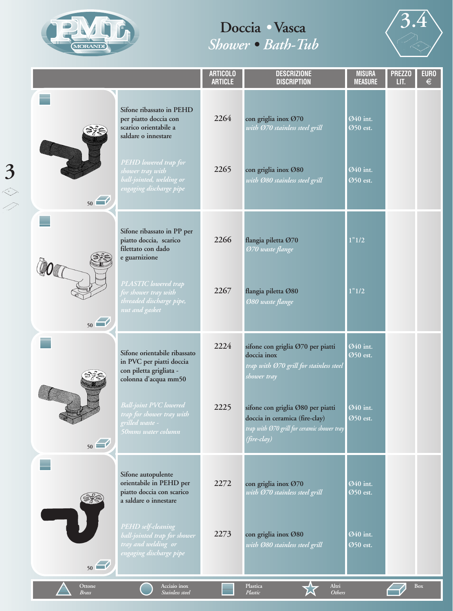



|                        |                                                                                                             | <b>ARTICOLO</b><br><b>ARTICLE</b> | <b>DESCRIZIONE</b><br><b>DISCRIPTION</b>                                                                                          | <b>MISURA</b><br><b>MEASURE</b> | <b>PREZZO</b><br>LIT. | <b>EURO</b><br>$\in$ |
|------------------------|-------------------------------------------------------------------------------------------------------------|-----------------------------------|-----------------------------------------------------------------------------------------------------------------------------------|---------------------------------|-----------------------|----------------------|
|                        | Sifone ribassato in PEHD<br>per piatto doccia con<br>scarico orientabile a<br>saldare o innestare           | 2264                              | con griglia inox Ø70<br>with Ø70 stainless steel grill                                                                            | Ø40 int.<br>Ø50 est.            |                       |                      |
| 50                     | PEHD lowered trap for<br>shower tray with<br>ball-jointed, welding or<br>engaging discharge pipe            | 2265                              | con griglia inox Ø80<br>with Ø80 stainless steel grill                                                                            | Ø40 int.<br>Ø50 est.            |                       |                      |
|                        | Sifone ribassato in PP per<br>piatto doccia, scarico<br>filettato con dado<br>e guarnizione                 | 2266                              | flangia piletta Ø70<br>Ø70 waste flange                                                                                           | 1"1/2                           |                       |                      |
| 50                     | PLASTIC lowered trap<br>for shower tray with<br>threaded discharge pipe,<br>nut and gasket                  | 2267                              | flangia piletta Ø80<br><b>Ø80 waste flange</b>                                                                                    | 1"1/2                           |                       |                      |
|                        | Sifone orientabile ribassato<br>in PVC per piatti doccia<br>con piletta grigliata -<br>colonna d'acqua mm50 | 2224                              | sifone con griglia Ø70 per piatti<br>doccia inox<br>trap with Ø70 grill for stainless steel<br>shower tray                        | Ø40 int.<br>Ø50 est.            |                       |                      |
| 50                     | <b>Ball-joint PVC lowered</b><br>trap for shower tray with<br>grilled waste -<br>50mms water column         | 2225                              | sifone con griglia Ø80 per piatti<br>doccia in ceramica (fire-clay)<br>trap with Ø70 grill for ceramic shower tray<br>(fire-clay) | Ø40 int.<br>Ø50 est.            |                       |                      |
|                        | Sifone autopulente<br>orientabile in PEHD per<br>piatto doccia con scarico<br>a saldare o innestare         | 2272                              | con griglia inox Ø70<br>with Ø70 stainless steel grill                                                                            | Ø40 int.<br>Ø50 est.            |                       |                      |
| 50                     | PEHD self-cleaning<br>ball-jointed trap for shower<br>tray and welding or<br>engaging discharge pipe        | 2273                              | con griglia inox Ø80<br>with Ø80 stainless steel grill                                                                            | Ø40 int.<br>Ø50 est.            |                       |                      |
| Ottone<br><b>Brass</b> | Acciaio inox<br>Stainless steel                                                                             |                                   | Plastica<br>Altri<br><b>Others</b><br>Plastic                                                                                     |                                 |                       | <b>Box</b>           |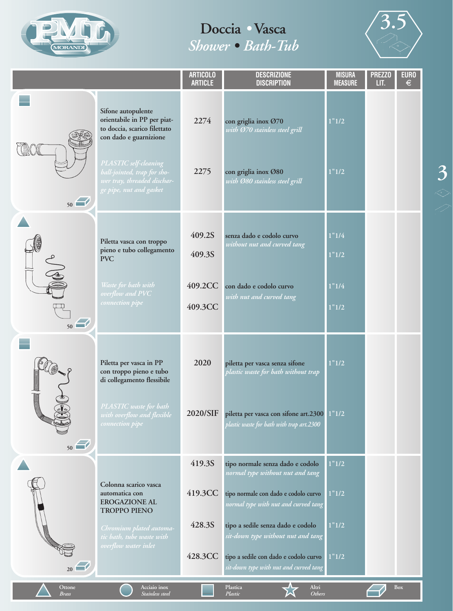

## **Doccia** *•* **Vasca**  *Shower • Bath-Tub*



|                        |                                                                                                                                      | <b>ARTICOLO</b><br><b>ARTICLE</b> | <b>DESCRIZIONE</b><br><b>DISCRIPTION</b>                                           | <b>MISURA</b><br><b>MEASURE</b> | <b>PREZZO</b><br>LIT. | <b>EURO</b><br>$\epsilon$ |
|------------------------|--------------------------------------------------------------------------------------------------------------------------------------|-----------------------------------|------------------------------------------------------------------------------------|---------------------------------|-----------------------|---------------------------|
|                        | Sifone autopulente<br>orientabile in PP per piat-<br>to doccia, scarico filettato<br>con dado e guarnizione<br>PLASTIC self-cleaning | 2274                              | con griglia inox Ø70<br>with Ø70 stainless steel grill                             | 1"1/2                           |                       |                           |
| 50                     | ball-jointed, trap for sho-<br>wer tray, threaded dischar-<br>ge pipe, nut and gasket                                                | 2275                              | con griglia inox Ø80<br>with Ø80 stainless steel grill                             | 1"1/2                           |                       |                           |
|                        | Piletta vasca con troppo<br>pieno e tubo collegamento<br><b>PVC</b>                                                                  | 409.2S<br>409.3S                  | senza dado e codolo curvo<br>without nut and curved tang                           | 1"1/4<br>1"1/2                  |                       |                           |
| 50                     | Waste for bath with<br>overflow and PVC<br>connection pipe                                                                           | 409.2CC<br>409.3CC                | con dado e codolo curvo<br>with nut and curved tang                                | 1"1/4<br>1"1/2                  |                       |                           |
|                        | Piletta per vasca in PP<br>con troppo pieno e tubo<br>di collegamento flessibile                                                     | 2020                              | piletta per vasca senza sifone<br>plastic waste for bath without trap              | 1"1/2                           |                       |                           |
| 50                     | PLASTIC waste for bath<br>with overflow and flexible<br>connection pipe                                                              | 2020/SIF                          | piletta per vasca con sifone art.2300<br>plastic waste for bath with trap art.2300 | 1"1/2                           |                       |                           |
|                        |                                                                                                                                      | 419.3S                            | tipo normale senza dado e codolo<br>normal type without nut and tang               | 1"1/2                           |                       |                           |
|                        | Colonna scarico vasca<br>automatica con<br><b>EROGAZIONE AL</b><br><b>TROPPO PIENO</b>                                               | 419.3CC                           | tipo normale con dado e codolo curvo<br>normal type with nut and curved tang       | 1"1/2                           |                       |                           |
|                        | Chromium plated automa-<br>tic bath, tube waste with                                                                                 | 428.3S                            | tipo a sedile senza dado e codolo<br>sit-down type without nut and tang            | 1"1/2                           |                       |                           |
| $_{20}$                | overflow water inlet                                                                                                                 | 428.3CC                           | tipo a sedile con dado e codolo curvo<br>sit-down type with nut and curved tang    | 1"1/2                           |                       |                           |
| Ottone<br><b>Brass</b> | Acciaio inox<br>Stainless steel                                                                                                      |                                   | Plastica<br>Altri<br>Plastic<br><b>Others</b>                                      |                                 |                       | Box                       |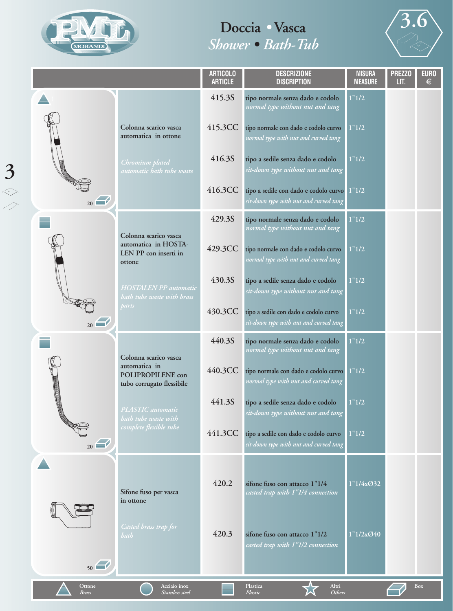



|                        |                                                                 | <b>ARTICOLO</b><br><b>ARTICLE</b> | <b>DESCRIZIONE</b><br><b>DISCRIPTION</b>                                        | <b>MISURA</b><br><b>MEASURE</b> | <b>PREZZO</b><br>LIT. | <b>EURO</b><br>$\epsilon$ |
|------------------------|-----------------------------------------------------------------|-----------------------------------|---------------------------------------------------------------------------------|---------------------------------|-----------------------|---------------------------|
|                        |                                                                 | 415.3S                            | tipo normale senza dado e codolo<br>normal type without nut and tang            | 1"1/2                           |                       |                           |
|                        | Colonna scarico vasca<br>automatica in ottone                   | 415.3CC                           | tipo normale con dado e codolo curvo<br>normal type with nut and curved tang    | 1"1/2                           |                       |                           |
|                        | Chromium plated<br>automatic bath tube waste                    | 416.3S                            | tipo a sedile senza dado e codolo<br>sit-down type without nut and tang         | 1"1/2                           |                       |                           |
| $_{20}$                |                                                                 | 416.3CC                           | tipo a sedile con dado e codolo curvo<br>sit-down type with nut and curved tang | 1"1/2                           |                       |                           |
|                        | Colonna scarico vasca                                           | 429.3S                            | tipo normale senza dado e codolo<br>normal type without nut and tang            | 1"1/2                           |                       |                           |
|                        | automatica in HOSTA-<br>LEN PP con inserti in<br>ottone         | 429.3CC                           | tipo normale con dado e codolo curvo<br>normal type with nut and curved tang    | 1"1/2                           |                       |                           |
|                        | <b>HOSTALEN PP</b> automatic<br>bath tube waste with brass      | 430.3S                            | tipo a sedile senza dado e codolo<br>sit-down type without nut and tang         | 1"1/2                           |                       |                           |
| $_{20}$                | parts                                                           | 430.3CC                           | tipo a sedile con dado e codolo curvo<br>sit-down type with nut and curved tang | 1"1/2                           |                       |                           |
|                        | Colonna scarico vasca                                           | 440.3S                            | tipo normale senza dado e codolo<br>normal type without nut and tang            | 1"1/2                           |                       |                           |
|                        | automatica in<br>POLIPROPILENE con<br>tubo corrugato flessibile | 440.3CC                           | tipo normale con dado e codolo curvo<br>normal type with nut and curved tang    | 1"1/2                           |                       |                           |
|                        | PLASTIC automatic<br>bath tube waste with                       | 441.3S                            | tipo a sedile senza dado e codolo<br>sit-down type without nut and tang         | 1"1/2                           |                       |                           |
| $_{20}$                | complete flexible tube                                          | 441.3CC                           | tipo a sedile con dado e codolo curvo<br>sit-down type with nut and curved tang | 1"1/2                           |                       |                           |
| 50                     | Sifone fuso per vasca<br>in ottone                              | 420.2                             | sifone fuso con attacco 1"1/4<br>casted trap with 1"1/4 connection              | 1"1/4x@32                       |                       |                           |
|                        | Casted brass trap for<br>bath                                   | 420.3                             | sifone fuso con attacco 1"1/2<br>casted trap with 1"1/2 connection              | 1"1/2x@40                       |                       |                           |
| Ottone<br><b>Brass</b> | Acciaio inox<br>Stainless steel                                 |                                   | Altri<br>Plastica<br><b>Others</b><br>Plastic                                   |                                 |                       | <b>Box</b>                |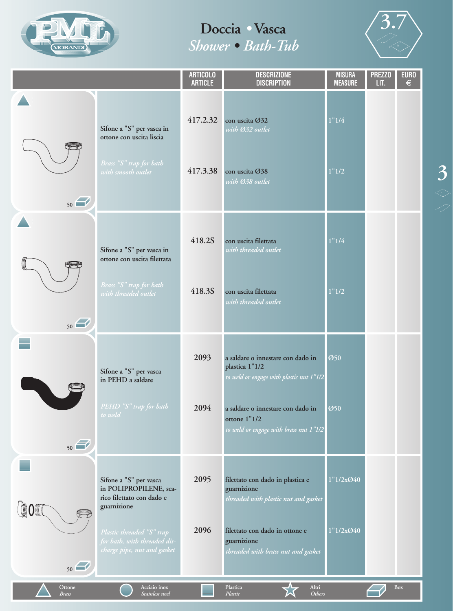



**3**

|                        |                                                                                                                                                                                          | <b>ARTICOLO</b><br><b>ARTICLE</b> | <b>DESCRIZIONE</b><br><b>DISCRIPTION</b>                                                                                                                                                       | <b>MISURA</b><br><b>MEASURE</b> | <b>PREZZO</b><br>LIT. | <b>EURO</b><br>$\epsilon$ |
|------------------------|------------------------------------------------------------------------------------------------------------------------------------------------------------------------------------------|-----------------------------------|------------------------------------------------------------------------------------------------------------------------------------------------------------------------------------------------|---------------------------------|-----------------------|---------------------------|
| 50                     | Sifone a "S" per vasca in<br>ottone con uscita liscia<br>Brass "S" trap for bath<br>with smooth outlet                                                                                   | 417.2.32<br>417.3.38              | con uscita Ø32<br>with Ø32 outlet<br>con uscita Ø38<br>with Ø38 outlet                                                                                                                         | 1"1/4<br>1"1/2                  |                       |                           |
| 50                     | Sifone a "S" per vasca in<br>ottone con uscita filettata<br>Brass "S" trap for bath<br>with threaded outlet                                                                              | 418.2S<br>418.3S                  | con uscita filettata<br>with threaded outlet<br>con uscita filettata<br>with threaded outlet                                                                                                   | 1"1/4<br>1"1/2                  |                       |                           |
| 50                     | Sifone a "S" per vasca<br>in PEHD a saldare<br>PEHD "S" trap for bath<br>to weld                                                                                                         | 2093<br>2094                      | a saldare o innestare con dado in<br>plastica 1"1/2<br>to weld or engage with plastic nut 1"1/2<br>a saldare o innestare con dado in<br>ottone 1"1/2<br>to weld or engage with brass nut 1"1/2 | Ø50<br>Ø50                      |                       |                           |
| 50                     | Sifone a "S" per vasca<br>in POLIPROPILENE, sca-<br>rico filettato con dado e<br>guarnizione<br>Plastic threaded "S" trap<br>for bath, with threaded dis-<br>charge pipe, nut and gasket | 2095<br>2096                      | filettato con dado in plastica e<br>guarnizione<br>threaded with plastic nut and gasket<br>filettato con dado in ottone e<br>guarnizione<br>threaded with brass nut and gasket                 | 1"1/2x@40<br>1"1/2x@40          |                       |                           |
| Ottone<br><b>Brass</b> | Acciaio inox<br>Stainless steel                                                                                                                                                          |                                   | Plastica<br>Altri<br>Plastic<br><b>Others</b>                                                                                                                                                  |                                 |                       | Box                       |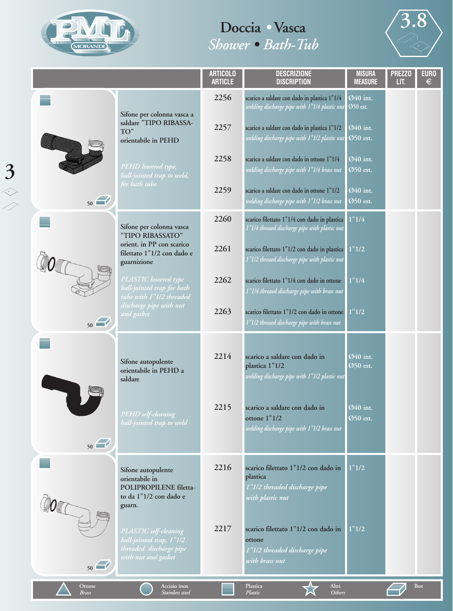

**3** ◇



|                        |                                                                                                     | <b>ARTICOLO</b><br><b>ARTICLE</b> | <b>DESCRIZIONE</b><br><b>DISCRIPTION</b>                                                             | <b>MISURA</b><br><b>MEASURE</b> | <b>PREZZO</b><br>LIT. | <b>EURO</b><br>$\in$ |
|------------------------|-----------------------------------------------------------------------------------------------------|-----------------------------------|------------------------------------------------------------------------------------------------------|---------------------------------|-----------------------|----------------------|
|                        | Sifone per colonna vasca a                                                                          | 2256                              | scarico a saldare con dado in plastica 1"1/4<br>welding discharge pipe with 1"1/4 plastic nut        | Ø40 int.<br>Ø50 est.            |                       |                      |
|                        | saldare "TIPO RIBASSA-<br>TO"<br>orientabile in PEHD                                                | 2257                              | scarico a saldare con dado in plastica 1"1/2<br>welding discharge pipe with 1"1/2 plastic nut        | Ø40 int.<br>Ø50 est.            |                       |                      |
|                        | PEHD lowered type,<br>ball-jointed trap to weld,                                                    | 2258                              | scarico a saldare con dado in ottone 1"1/4<br>welding discharge pipe with 1"1/4 brass nut            | Ø40 int.<br>Ø50 est.            |                       |                      |
| 50                     | for bath tube                                                                                       | 2259                              | scarico a saldare con dado in ottone 1"1/2<br>welding discharge pipe with 1"1/2 brass nut            | Ø40 int.<br>Ø50 est.            |                       |                      |
|                        | Sifone per colonna vasca<br>"TIPO RIBASSATO"                                                        | 2260                              | scarico filettato 1"1/4 con dado in plastica<br>1"1/4 threaed discharge pipe with plastic nut        | 1"1/4                           |                       |                      |
|                        | orient. in PP con scarico<br>filettato 1"1/2 con dado e<br>guarnizione                              | 2261                              | scarico filettato 1"1/2 con dado in plastica<br>1"1/2 threaed discharge pipe with plastic nut        | 1"1/2                           |                       |                      |
|                        | PLASTIC lowered type<br>ball-jointed trap for bath<br>tube with 1"1/2 threaded                      | 2262                              | scarico filettato 1"1/4 con dado in ottone<br>1"1/4 threaed discharge pipe with brass nut            | 1"1/4                           |                       |                      |
| 50                     | discharge pipe with nut<br>and gasket                                                               | 2263                              | scarico filettato 1"1/2 con dado in ottone 1"1/2<br>1"1/2 threaed discharge pipe with brass nut      |                                 |                       |                      |
|                        | Sifone autopulente<br>orientabile in PEHD a<br>saldare                                              | 2214                              | scarico a saldare con dado in<br>plastica 1"1/2<br>welding discharge pipe with 1"1/2 plastic nut     | Ø40 int.<br>Ø50 est.            |                       |                      |
| 50                     | PEHD self-cleaning<br>ball-jointed trap to weld                                                     | 2215                              | scarico a saldare con dado in<br>ottone 1"1/2<br>welding discharge pipe with 1"1/2 brass nut         | Ø40 int.<br>Ø50 est.            |                       |                      |
|                        | Sifone autopulente<br>orientabile in<br>POLIPROPILENE filetta-<br>to da 1"1/2 con dado e<br>guarn.  | 2216                              | scarico filettato 1"1/2 con dado in<br>plastica<br>1"1/2 threaded discharge pipe<br>with plastic nut | 1"1/2                           |                       |                      |
| 50                     | PLASTIC self-cleaning<br>ball-jointed trap, 1"1/2<br>threaded discharge pipe<br>with nut and gasket | 2217                              | scarico filettato 1"1/2 con dado in<br>ottone<br>1"1/2 threaded discharge pipe<br>with brass nut     | 1"1/2                           |                       |                      |
| Ottone<br><b>Brass</b> | Acciaio inox<br>Stainless steel                                                                     |                                   | Plastica<br>Altri<br><b>Others</b><br>Plastic                                                        |                                 |                       | Box                  |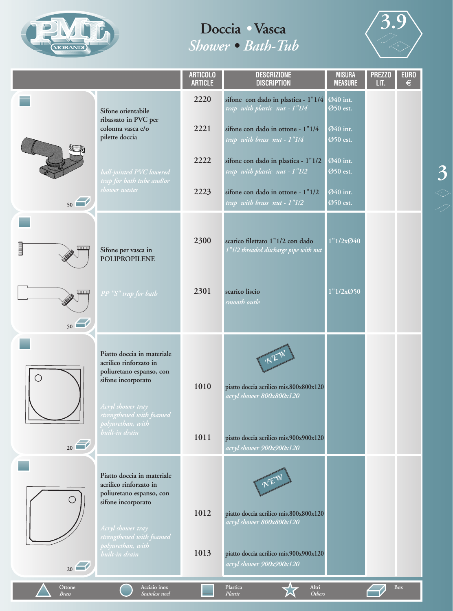



**3**

|                        |                                                                                                                                                                                                | <b>ARTICOLO</b><br><b>ARTICLE</b> | <b>DESCRIZIONE</b><br><b>DISCRIPTION</b>                                                                                                 | <b>MISURA</b><br><b>MEASURE</b> | <b>PREZZO</b><br>LIT. | <b>EURO</b><br>€ |
|------------------------|------------------------------------------------------------------------------------------------------------------------------------------------------------------------------------------------|-----------------------------------|------------------------------------------------------------------------------------------------------------------------------------------|---------------------------------|-----------------------|------------------|
|                        | Sifone orientabile                                                                                                                                                                             | 2220                              | sifone con dado in plastica - 1"1/4<br>trap with plastic nut - 1"1/4                                                                     | Ø40 int.<br>Ø50 est.            |                       |                  |
|                        | ribassato in PVC per<br>colonna vasca e/o<br>pilette doccia                                                                                                                                    | 2221                              | sifone con dado in ottone - 1"1/4<br>trap with brass nut - 1"1/4                                                                         | Ø40 int.<br>Ø50 est.            |                       |                  |
|                        | ball-jointed PVC lowered                                                                                                                                                                       | 2222                              | sifone con dado in plastica - 1"1/2<br>trap with plastic nut - 1"1/2                                                                     | Ø40 int.<br>Ø50 est.            |                       |                  |
| 50                     | trap for bath tube and/or<br>shower wastes                                                                                                                                                     | 2223                              | sifone con dado in ottone - 1"1/2<br>trap with brass nut - 1"1/2                                                                         | Ø40 int.<br>Ø50 est.            |                       |                  |
| l<br>نسسا              | Sifone per vasca in<br><b>POLIPROPILENE</b>                                                                                                                                                    | 2300                              | scarico filettato 1"1/2 con dado<br>1"1/2 threaded discharge pipe with nut                                                               | 1"1/2x@40                       |                       |                  |
| <del>بسسا</del><br>50  | PP "S" trap for bath                                                                                                                                                                           | 2301                              | scarico liscio<br>smooth outle                                                                                                           | 1"1/2x@50                       |                       |                  |
| O                      | Piatto doccia in materiale<br>acrilico rinforzato in<br>poliuretano espanso, con<br>sifone incorporato<br>Acryl shower tray<br>strengthened with foamed<br>polyurethan, with<br>built-in drain | 1010<br>1011                      | NEW<br>piatto doccia acrilico mis.800x800x120<br>acryl shower 800x800x120<br>piatto doccia acrilico mis.900x900x120                      |                                 |                       |                  |
| $_{20}$                |                                                                                                                                                                                                |                                   | acryl shower 900x900x120                                                                                                                 |                                 |                       |                  |
| 20                     | Piatto doccia in materiale<br>acrilico rinforzato in<br>poliuretano espanso, con<br>sifone incorporato<br>Acryl shower tray<br>strengthened with foamed<br>polyurethan, with<br>built-in drain | 1012<br>1013                      | piatto doccia acrilico mis.800x800x120<br>acryl shower 800x800x120<br>piatto doccia acrilico mis.900x900x120<br>acryl shower 900x900x120 |                                 |                       |                  |
| Ottone<br><b>Brass</b> | Acciaio inox<br>Stainless steel                                                                                                                                                                |                                   | Plastica<br>Altri<br>Plastic<br>Others                                                                                                   |                                 |                       | Box              |